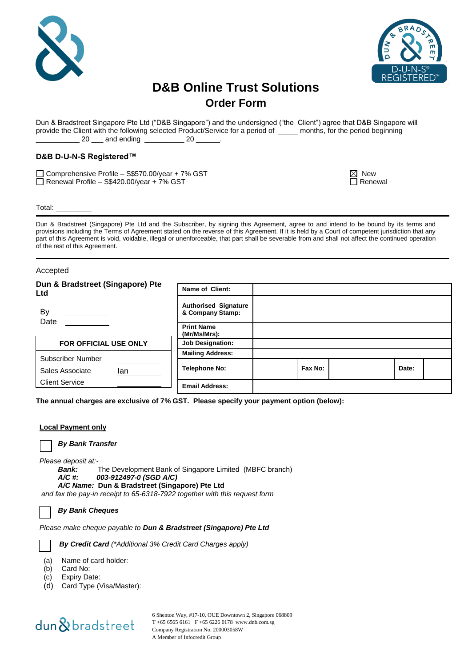



## **D&B Online Trust Solutions Order Form**

Dun & Bradstreet Singapore Pte Ltd ("D&B Singapore") and the undersigned ("the Client") agree that D&B Singapore will provide the Client with the following selected Product/Service for a period of \_\_\_\_\_ months, for the period beginning 20 \_\_\_\_ and ending \_\_\_\_\_\_\_\_\_\_ 20 \_\_

## **D&B D-U-N-S Registered™**

Comprehensive Profile – S\$570.00/year + 7% GST  $\blacksquare$  New  $\blacksquare$  New  $\blacksquare$ Renewal Profile – S\$420.00/year + 7% GST Renewal

Total: \_\_\_\_\_\_\_\_\_

Dun & Bradstreet (Singapore) Pte Ltd and the Subscriber, by signing this Agreement, agree to and intend to be bound by its terms and provisions including the Terms of Agreement stated on the reverse of this Agreement. If it is held by a Court of competent jurisdiction that any part of this Agreement is void, voidable, illegal or unenforceable, that part shall be severable from and shall not affect the continued operation of the rest of this Agreement.

### Accepted

| Dun & Bradstreet (Singapore) Pte<br>Ltd     | Name of Client:                                 |         |       |  |
|---------------------------------------------|-------------------------------------------------|---------|-------|--|
| <b>By</b><br>Date                           | <b>Authorised Signature</b><br>& Company Stamp: |         |       |  |
|                                             | <b>Print Name</b><br>(Mr/Ms/Mrs):               |         |       |  |
| <b>FOR OFFICIAL USE ONLY</b>                | <b>Job Designation:</b>                         |         |       |  |
|                                             | <b>Mailing Address:</b>                         |         |       |  |
| Subscriber Number<br>Sales Associate<br>lan | <b>Telephone No:</b>                            | Fax No: | Date: |  |
| <b>Client Service</b>                       | <b>Email Address:</b>                           |         |       |  |

**The annual charges are exclusive of 7% GST. Please specify your payment option (below):**

### **Local Payment only**

*By Bank Transfer*

*Please deposit at:-*

*Bank:* The Development Bank of Singapore Limited (MBFC branch)

#### *A/C #: 003-912497-0 (SGD A/C) A/C Name:* **Dun & Bradstreet (Singapore) Pte Ltd**

*and fax the pay-in receipt to 65-6318-7922 together with this request form*

*By Bank Cheques*

*Please make cheque payable to Dun & Bradstreet (Singapore) Pte Ltd*

*By Credit Card (\*Additional 3% Credit Card Charges apply)*

(a) Name of card holder:

- (b) Card No:
- (c) Expiry Date:
- (d) Card Type (Visa/Master):

## dun&bradstreet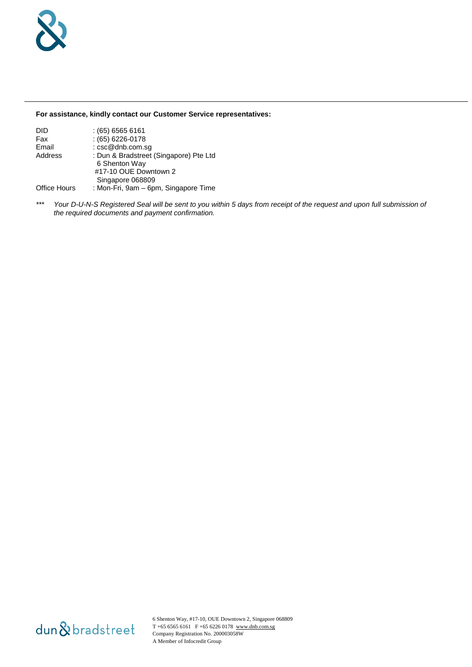## **For assistance, kindly contact our Customer Service representatives:**

| DID                 | $(65)$ 6565 6161                       |
|---------------------|----------------------------------------|
| Fax                 | $(65)$ 6226-0178                       |
| Email               | : csc@dnb.com.sg                       |
| Address             | : Dun & Bradstreet (Singapore) Pte Ltd |
|                     | 6 Shenton Way                          |
|                     | #17-10 OUE Downtown 2                  |
|                     | Singapore 068809                       |
| <b>Office Hours</b> | : Mon-Fri, 9am – 6pm, Singapore Time   |

*\*\*\* Your D-U-N-S Registered Seal will be sent to you within 5 days from receipt of the request and upon full submission of the required documents and payment confirmation.*

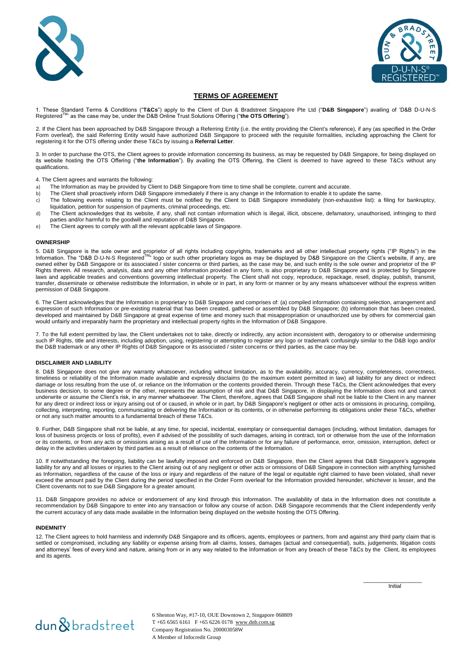



## **TERMS OF AGREEMENT**

1. These Standard Terms & Conditions ("**T&Cs**") apply to the Client of Dun & Bradstreet Singapore Pte Ltd ("**D&B Singapore**") availing of 'D&B D-U-N-S ' as the case may be, under the D&B Online Trust Solutions Offering ("the OTS Offering").

2. If the Client has been approached by D&B Singapore through a Referring Entity (i.e. the entity providing the Client's reference), if any (as specified in the Order Form overleaf), the said Referring Entity would have authorized D&B Singapore to proceed with the requisite formalities, including approaching the Client for registering it for the OTS offering under these T&Cs by issuing a **Referral Letter**.

3. In order to purchase the OTS, the Client agrees to provide information concerning its business, as may be requested by D&B Singapore, for being displayed on its website hosting the OTS Offering ("**the Information**"). By availing the OTS Offering, the Client is deemed to have agreed to these T&Cs without any qualifications.

4. The Client agrees and warrants the following:

- a) The Information as may be provided by Client to D&B Singapore from time to time shall be complete, current and accurate.
- b) The Client shall proactively inform D&B Singapore immediately if there is any change in the Information to enable it to update the same.
- c) The following events relating to the Client must be notified by the Client to D&B Singapore immediately (non-exhaustive list): a filing for bankruptcy, liquidation, petition for suspension of payments, criminal proceedings, etc.
- d) The Client acknowledges that its website, if any, shall not contain information which is illegal, illicit, obscene, defamatory, unauthorised, infringing to third parties and/or harmful to the goodwill and reputation of D&B Singapore.
- e) The Client agrees to comply with all the relevant applicable laws of Singapore.

#### **OWNERSHIP**

5. D&B Singapore is the sole owner and proprietor of all rights including copyrights, trademarks and all other intellectual property rights ("IP Rights") in the<br>Information. The "D&B D-U-N-S Registered™" logo or such othe owned either by D&B Singapore or its associated / sister concerns or third parties, as the case may be, and such entity is the sole owner and proprietor of the IP Rights therein. All research, analysis, data and any other Information provided in any form, is also proprietary to D&B Singapore and is protected by Singapore laws and applicable treaties and conventions governing intellectual property. The Client shall not copy, reproduce, repackage, resell, display, publish, transmit, transfer, disseminate or otherwise redistribute the Information, in whole or in part, in any form or manner or by any means whatsoever without the express written permission of D&B Singapore.

6. The Client acknowledges that the Information is proprietary to D&B Singapore and comprises of: (a) compiled information containing selection, arrangement and expression of such Information or pre-existing material that has been created, gathered or assembled by D&B Singapore; (b) information that has been created, developed and maintained by D&B Singapore at great expense of time and money such that misappropriation or unauthorized use by others for commercial gain would unfairly and irreparably harm the proprietary and intellectual property rights in the Information of D&B Singapore.

7. To the full extent permitted by law, the Client undertakes not to take, directly or indirectly, any action inconsistent with, derogatory to or otherwise undermining such IP Rights, title and interests, including adoption, using, registering or attempting to register any logo or trademark confusingly similar to the D&B logo and/or the D&B trademark or any other IP Rights of D&B Singapore or its associated / sister concerns or third parties, as the case may be.

#### **DISCLAIMER AND LIABILITY**

8. D&B Singapore does not give any warranty whatsoever, including without limitation, as to the availability, accuracy, currency, completeness, correctness, timeliness or reliability of the Information made available and expressly disclaims (to the maximum extent permitted in law) all liability for any direct or indirect damage or loss resulting from the use of, or reliance on the Information or the contents provided therein. Through these T&Cs, the Client acknowledges that every business decision, to some degree or the other, represents the assumption of risk and that D&B Singapore, in displaying the Information does not and cannot underwrite or assume the Client's risk, in any manner whatsoever. The Client, therefore, agrees that D&B Singapore shall not be liable to the Client in any manner for any direct or indirect loss or injury arising out of or caused, in whole or in part, by D&B Singapore's negligent or other acts or omissions in procuring, compiling, collecting, interpreting, reporting, communicating or delivering the Information or its contents, or in otherwise performing its obligations under these T&Cs, whether or not any such matter amounts to a fundamental breach of these T&Cs.

9. Further, D&B Singapore shall not be liable, at any time, for special, incidental, exemplary or consequential damages (including, without limitation, damages for loss of business projects or loss of profits), even if advised of the possibility of such damages, arising in contract, tort or otherwise from the use of the Information or its contents, or from any acts or omissions arising as a result of use of the Information or for any failure of performance, error, omission, interruption, defect or delay in the activities undertaken by third parties as a result of reliance on the contents of the Information.

10. If notwithstanding the foregoing, liability can be lawfully imposed and enforced on D&B Singapore, then the Client agrees that D&B Singapore's aggregate liability for any and all losses or injuries to the Client arising out of any negligent or other acts or omissions of D&B Singapore in connection with anything furnished as Information, regardless of the cause of the loss or injury and regardless of the nature of the legal or equitable right claimed to have been violated, shall never exceed the amount paid by the Client during the period specified in the Order Form overleaf for the Information provided hereunder, whichever is lesser, and the Client covenants not to sue D&B Singapore for a greater amount.

11. D&B Singapore provides no advice or endorsement of any kind through this Information. The availability of data in the Information does not constitute a recommendation by D&B Singapore to enter into any transaction or follow any course of action. D&B Singapore recommends that the Client independently verify the current accuracy of any data made available in the Information being displayed on the website hosting the OTS Offering.

#### **INDEMNITY**

12. The Client agrees to hold harmless and indemnify D&B Singapore and its officers, agents, employees or partners, from and against any third party claim that is settled or compromised, including any liability or expense arising from all claims, losses, damages (actual and consequential), suits, judgements, litigation costs and attorneys' fees of every kind and nature, arising from or in any way related to the Information or from any breach of these T&Cs by the Client, its employees and its agents.

**Initial** 

 $\frac{1}{\sqrt{2}}$  ,  $\frac{1}{\sqrt{2}}$  ,  $\frac{1}{\sqrt{2}}$  ,  $\frac{1}{\sqrt{2}}$  ,  $\frac{1}{\sqrt{2}}$  ,  $\frac{1}{\sqrt{2}}$  ,  $\frac{1}{\sqrt{2}}$  ,  $\frac{1}{\sqrt{2}}$  ,  $\frac{1}{\sqrt{2}}$  ,  $\frac{1}{\sqrt{2}}$  ,  $\frac{1}{\sqrt{2}}$  ,  $\frac{1}{\sqrt{2}}$  ,  $\frac{1}{\sqrt{2}}$  ,  $\frac{1}{\sqrt{2}}$  ,  $\frac{1}{\sqrt{2}}$ 

# dun & bradstreet